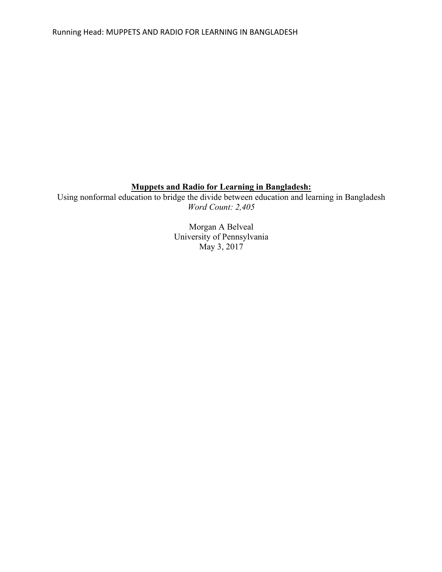# **Muppets and Radio for Learning in Bangladesh:**

Using nonformal education to bridge the divide between education and learning in Bangladesh *Word Count: 2,405*

> Morgan A Belveal University of Pennsylvania May 3, 2017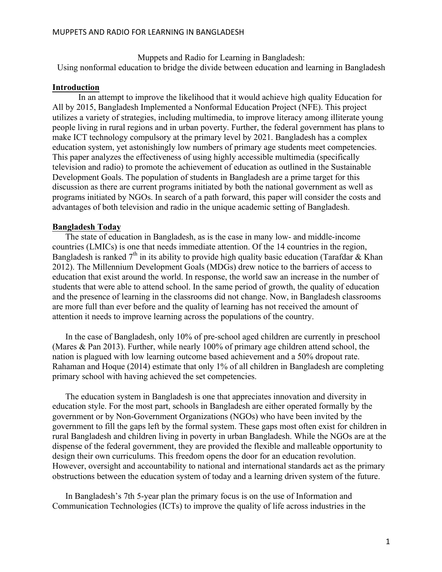Muppets and Radio for Learning in Bangladesh: Using nonformal education to bridge the divide between education and learning in Bangladesh

#### **Introduction**

In an attempt to improve the likelihood that it would achieve high quality Education for All by 2015, Bangladesh Implemented a Nonformal Education Project (NFE). This project utilizes a variety of strategies, including multimedia, to improve literacy among illiterate young people living in rural regions and in urban poverty. Further, the federal government has plans to make ICT technology compulsory at the primary level by 2021. Bangladesh has a complex education system, yet astonishingly low numbers of primary age students meet competencies. This paper analyzes the effectiveness of using highly accessible multimedia (specifically television and radio) to promote the achievement of education as outlined in the Sustainable Development Goals. The population of students in Bangladesh are a prime target for this discussion as there are current programs initiated by both the national government as well as programs initiated by NGOs. In search of a path forward, this paper will consider the costs and advantages of both television and radio in the unique academic setting of Bangladesh.

#### **Bangladesh Today**

The state of education in Bangladesh, as is the case in many low- and middle-income countries (LMICs) is one that needs immediate attention. Of the 14 countries in the region, Bangladesh is ranked  $7<sup>th</sup>$  in its ability to provide high quality basic education (Tarafdar & Khan 2012). The Millennium Development Goals (MDGs) drew notice to the barriers of access to education that exist around the world. In response, the world saw an increase in the number of students that were able to attend school. In the same period of growth, the quality of education and the presence of learning in the classrooms did not change. Now, in Bangladesh classrooms are more full than ever before and the quality of learning has not received the amount of attention it needs to improve learning across the populations of the country.

In the case of Bangladesh, only 10% of pre-school aged children are currently in preschool (Mares & Pan 2013). Further, while nearly 100% of primary age children attend school, the nation is plagued with low learning outcome based achievement and a 50% dropout rate. Rahaman and Hoque (2014) estimate that only 1% of all children in Bangladesh are completing primary school with having achieved the set competencies.

The education system in Bangladesh is one that appreciates innovation and diversity in education style. For the most part, schools in Bangladesh are either operated formally by the government or by Non-Government Organizations (NGOs) who have been invited by the government to fill the gaps left by the formal system. These gaps most often exist for children in rural Bangladesh and children living in poverty in urban Bangladesh. While the NGOs are at the dispense of the federal government, they are provided the flexible and malleable opportunity to design their own curriculums. This freedom opens the door for an education revolution. However, oversight and accountability to national and international standards act as the primary obstructions between the education system of today and a learning driven system of the future.

In Bangladesh's 7th 5-year plan the primary focus is on the use of Information and Communication Technologies (ICTs) to improve the quality of life across industries in the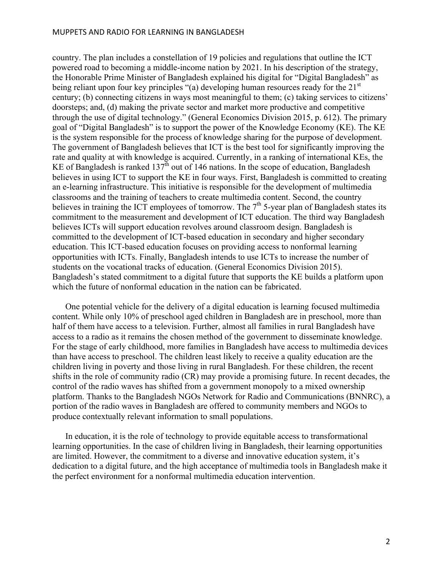#### MUPPETS AND RADIO FOR LEARNING IN BANGLADESH

country. The plan includes a constellation of 19 policies and regulations that outline the ICT powered road to becoming a middle-income nation by 2021. In his description of the strategy, the Honorable Prime Minister of Bangladesh explained his digital for "Digital Bangladesh" as being reliant upon four key principles "(a) developing human resources ready for the 21<sup>st</sup> century; (b) connecting citizens in ways most meaningful to them; (c) taking services to citizens' doorsteps; and, (d) making the private sector and market more productive and competitive through the use of digital technology." (General Economics Division 2015, p. 612). The primary goal of "Digital Bangladesh" is to support the power of the Knowledge Economy (KE). The KE is the system responsible for the process of knowledge sharing for the purpose of development. The government of Bangladesh believes that ICT is the best tool for significantly improving the rate and quality at with knowledge is acquired. Currently, in a ranking of international KEs, the KE of Bangladesh is ranked  $137<sup>th</sup>$  out of 146 nations. In the scope of education, Bangladesh believes in using ICT to support the KE in four ways. First, Bangladesh is committed to creating an e-learning infrastructure. This initiative is responsible for the development of multimedia classrooms and the training of teachers to create multimedia content. Second, the country believes in training the ICT employees of tomorrow. The  $7<sup>th</sup>$  5-year plan of Bangladesh states its commitment to the measurement and development of ICT education. The third way Bangladesh believes ICTs will support education revolves around classroom design. Bangladesh is committed to the development of ICT-based education in secondary and higher secondary education. This ICT-based education focuses on providing access to nonformal learning opportunities with ICTs. Finally, Bangladesh intends to use ICTs to increase the number of students on the vocational tracks of education. (General Economics Division 2015). Bangladesh's stated commitment to a digital future that supports the KE builds a platform upon which the future of nonformal education in the nation can be fabricated.

One potential vehicle for the delivery of a digital education is learning focused multimedia content. While only 10% of preschool aged children in Bangladesh are in preschool, more than half of them have access to a television. Further, almost all families in rural Bangladesh have access to a radio as it remains the chosen method of the government to disseminate knowledge. For the stage of early childhood, more families in Bangladesh have access to multimedia devices than have access to preschool. The children least likely to receive a quality education are the children living in poverty and those living in rural Bangladesh. For these children, the recent shifts in the role of community radio (CR) may provide a promising future. In recent decades, the control of the radio waves has shifted from a government monopoly to a mixed ownership platform. Thanks to the Bangladesh NGOs Network for Radio and Communications (BNNRC), a portion of the radio waves in Bangladesh are offered to community members and NGOs to produce contextually relevant information to small populations.

In education, it is the role of technology to provide equitable access to transformational learning opportunities. In the case of children living in Bangladesh, their learning opportunities are limited. However, the commitment to a diverse and innovative education system, it's dedication to a digital future, and the high acceptance of multimedia tools in Bangladesh make it the perfect environment for a nonformal multimedia education intervention.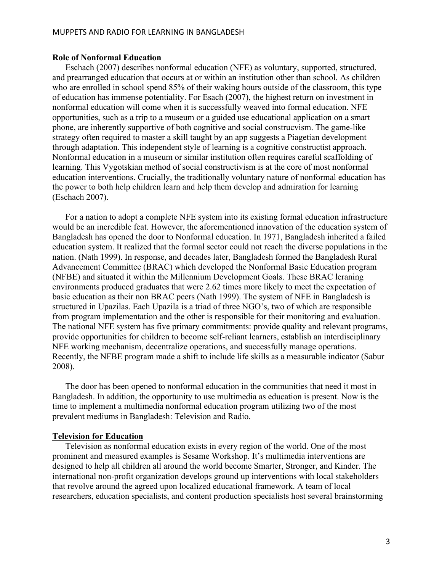#### **Role of Nonformal Education**

Eschach (2007) describes nonformal education (NFE) as voluntary, supported, structured, and prearranged education that occurs at or within an institution other than school. As children who are enrolled in school spend 85% of their waking hours outside of the classroom, this type of education has immense potentiality. For Esach (2007), the highest return on investment in nonformal education will come when it is successfully weaved into formal education. NFE opportunities, such as a trip to a museum or a guided use educational application on a smart phone, are inherently supportive of both cognitive and social construcvism. The game-like strategy often required to master a skill taught by an app suggests a Piagetian development through adaptation. This independent style of learning is a cognitive constructist approach. Nonformal education in a museum or similar institution often requires careful scaffolding of learning. This Vygotskian method of social constructivism is at the core of most nonformal education interventions. Crucially, the traditionally voluntary nature of nonformal education has the power to both help children learn and help them develop and admiration for learning (Eschach 2007).

For a nation to adopt a complete NFE system into its existing formal education infrastructure would be an incredible feat. However, the aforementioned innovation of the education system of Bangladesh has opened the door to Nonformal education. In 1971, Bangladesh inherited a failed education system. It realized that the formal sector could not reach the diverse populations in the nation. (Nath 1999). In response, and decades later, Bangladesh formed the Bangladesh Rural Advancement Committee (BRAC) which developed the Nonformal Basic Education program (NFBE) and situated it within the Millennium Development Goals. These BRAC leraning environments produced graduates that were 2.62 times more likely to meet the expectation of basic education as their non BRAC peers (Nath 1999). The system of NFE in Bangladesh is structured in Upazilas. Each Upazila is a triad of three NGO's, two of which are responsible from program implementation and the other is responsible for their monitoring and evaluation. The national NFE system has five primary commitments: provide quality and relevant programs, provide opportunities for children to become self-reliant learners, establish an interdisciplinary NFE working mechanism, decentralize operations, and successfully manage operations. Recently, the NFBE program made a shift to include life skills as a measurable indicator (Sabur 2008).

The door has been opened to nonformal education in the communities that need it most in Bangladesh. In addition, the opportunity to use multimedia as education is present. Now is the time to implement a multimedia nonformal education program utilizing two of the most prevalent mediums in Bangladesh: Television and Radio.

#### **Television for Education**

Television as nonformal education exists in every region of the world. One of the most prominent and measured examples is Sesame Workshop. It's multimedia interventions are designed to help all children all around the world become Smarter, Stronger, and Kinder. The international non-profit organization develops ground up interventions with local stakeholders that revolve around the agreed upon localized educational framework. A team of local researchers, education specialists, and content production specialists host several brainstorming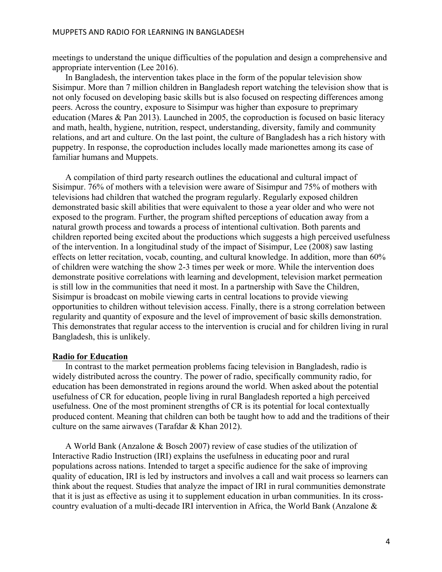meetings to understand the unique difficulties of the population and design a comprehensive and appropriate intervention (Lee 2016).

In Bangladesh, the intervention takes place in the form of the popular television show Sisimpur. More than 7 million children in Bangladesh report watching the television show that is not only focused on developing basic skills but is also focused on respecting differences among peers. Across the country, exposure to Sisimpur was higher than exposure to preprimary education (Mares & Pan 2013). Launched in 2005, the coproduction is focused on basic literacy and math, health, hygiene, nutrition, respect, understanding, diversity, family and community relations, and art and culture. On the last point, the culture of Bangladesh has a rich history with puppetry. In response, the coproduction includes locally made marionettes among its case of familiar humans and Muppets.

A compilation of third party research outlines the educational and cultural impact of Sisimpur. 76% of mothers with a television were aware of Sisimpur and 75% of mothers with televisions had children that watched the program regularly. Regularly exposed children demonstrated basic skill abilities that were equivalent to those a year older and who were not exposed to the program. Further, the program shifted perceptions of education away from a natural growth process and towards a process of intentional cultivation. Both parents and children reported being excited about the productions which suggests a high perceived usefulness of the intervention. In a longitudinal study of the impact of Sisimpur, Lee (2008) saw lasting effects on letter recitation, vocab, counting, and cultural knowledge. In addition, more than 60% of children were watching the show 2-3 times per week or more. While the intervention does demonstrate positive correlations with learning and development, television market permeation is still low in the communities that need it most. In a partnership with Save the Children, Sisimpur is broadcast on mobile viewing carts in central locations to provide viewing opportunities to children without television access. Finally, there is a strong correlation between regularity and quantity of exposure and the level of improvement of basic skills demonstration. This demonstrates that regular access to the intervention is crucial and for children living in rural Bangladesh, this is unlikely.

#### **Radio for Education**

In contrast to the market permeation problems facing television in Bangladesh, radio is widely distributed across the country. The power of radio, specifically community radio, for education has been demonstrated in regions around the world. When asked about the potential usefulness of CR for education, people living in rural Bangladesh reported a high perceived usefulness. One of the most prominent strengths of CR is its potential for local contextually produced content. Meaning that children can both be taught how to add and the traditions of their culture on the same airwaves (Tarafdar & Khan 2012).

A World Bank (Anzalone & Bosch 2007) review of case studies of the utilization of Interactive Radio Instruction (IRI) explains the usefulness in educating poor and rural populations across nations. Intended to target a specific audience for the sake of improving quality of education, IRI is led by instructors and involves a call and wait process so learners can think about the request. Studies that analyze the impact of IRI in rural communities demonstrate that it is just as effective as using it to supplement education in urban communities. In its crosscountry evaluation of a multi-decade IRI intervention in Africa, the World Bank (Anzalone &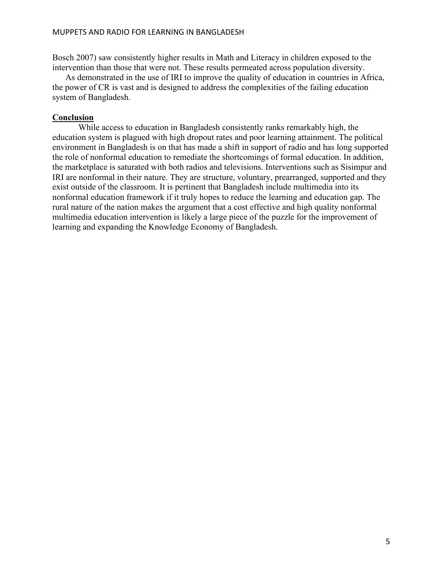#### MUPPETS AND RADIO FOR LEARNING IN BANGLADESH

Bosch 2007) saw consistently higher results in Math and Literacy in children exposed to the intervention than those that were not. These results permeated across population diversity.

As demonstrated in the use of IRI to improve the quality of education in countries in Africa, the power of CR is vast and is designed to address the complexities of the failing education system of Bangladesh.

### **Conclusion**

While access to education in Bangladesh consistently ranks remarkably high, the education system is plagued with high dropout rates and poor learning attainment. The political environment in Bangladesh is on that has made a shift in support of radio and has long supported the role of nonformal education to remediate the shortcomings of formal education. In addition, the marketplace is saturated with both radios and televisions. Interventions such as Sisimpur and IRI are nonformal in their nature. They are structure, voluntary, prearranged, supported and they exist outside of the classroom. It is pertinent that Bangladesh include multimedia into its nonformal education framework if it truly hopes to reduce the learning and education gap. The rural nature of the nation makes the argument that a cost effective and high quality nonformal multimedia education intervention is likely a large piece of the puzzle for the improvement of learning and expanding the Knowledge Economy of Bangladesh.